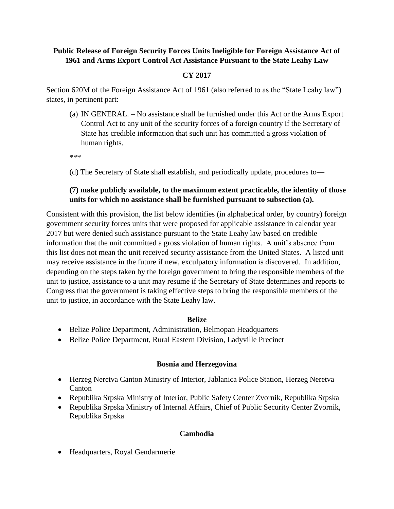# **Public Release of Foreign Security Forces Units Ineligible for Foreign Assistance Act of 1961 and Arms Export Control Act Assistance Pursuant to the State Leahy Law**

# **CY 2017**

Section 620M of the Foreign Assistance Act of 1961 (also referred to as the "State Leahy law") states, in pertinent part:

(a) IN GENERAL. – No assistance shall be furnished under this Act or the Arms Export Control Act to any unit of the security forces of a foreign country if the Secretary of State has credible information that such unit has committed a gross violation of human rights.

\*\*\*

(d) The Secretary of State shall establish, and periodically update, procedures to—

## **(7) make publicly available, to the maximum extent practicable, the identity of those units for which no assistance shall be furnished pursuant to subsection (a).**

Consistent with this provision, the list below identifies (in alphabetical order, by country) foreign government security forces units that were proposed for applicable assistance in calendar year 2017 but were denied such assistance pursuant to the State Leahy law based on credible information that the unit committed a gross violation of human rights. A unit's absence from this list does not mean the unit received security assistance from the United States. A listed unit may receive assistance in the future if new, exculpatory information is discovered. In addition, depending on the steps taken by the foreign government to bring the responsible members of the unit to justice, assistance to a unit may resume if the Secretary of State determines and reports to Congress that the government is taking effective steps to bring the responsible members of the unit to justice, in accordance with the State Leahy law.

#### **Belize**

- Belize Police Department, Administration, Belmopan Headquarters
- Belize Police Department, Rural Eastern Division, Ladyville Precinct

#### **Bosnia and Herzegovina**

- Herzeg Neretva Canton Ministry of Interior, Jablanica Police Station, Herzeg Neretva Canton
- Republika Srpska Ministry of Interior, Public Safety Center Zvornik, Republika Srpska
- Republika Srpska Ministry of Internal Affairs, Chief of Public Security Center Zvornik, Republika Srpska

## **Cambodia**

Headquarters, Royal Gendarmerie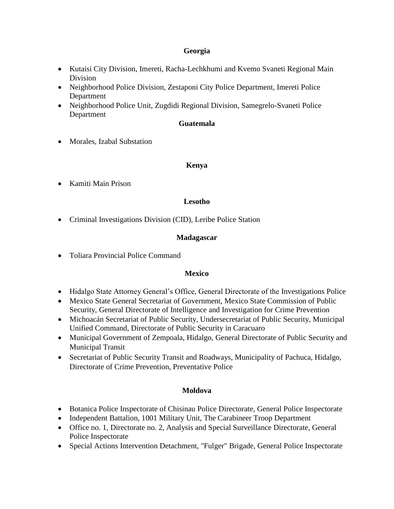### **Georgia**

- Kutaisi City Division, Imereti, Racha-Lechkhumi and Kvemo Svaneti Regional Main Division
- Neighborhood Police Division, Zestaponi City Police Department, Imereti Police Department
- Neighborhood Police Unit, Zugdidi Regional Division, Samegrelo-Svaneti Police Department

## **Guatemala**

• Morales, Izabal Substation

## **Kenya**

• Kamiti Main Prison

## **Lesotho**

• Criminal Investigations Division (CID), Leribe Police Station

## **Madagascar**

Toliara Provincial Police Command

## **Mexico**

- Hidalgo State Attorney General's Office, General Directorate of the Investigations Police
- Mexico State General Secretariat of Government, Mexico State Commission of Public Security, General Directorate of Intelligence and Investigation for Crime Prevention
- Michoacán Secretariat of Public Security, Undersecretariat of Public Security, Municipal Unified Command, Directorate of Public Security in Caracuaro
- Municipal Government of Zempoala, Hidalgo, General Directorate of Public Security and Municipal Transit
- Secretariat of Public Security Transit and Roadways, Municipality of Pachuca, Hidalgo, Directorate of Crime Prevention, Preventative Police

## **Moldova**

- Botanica Police Inspectorate of Chisinau Police Directorate, General Police Inspectorate
- Independent Battalion, 1001 Military Unit, The Carabineer Troop Department
- Office no. 1, Directorate no. 2, Analysis and Special Surveillance Directorate, General Police Inspectorate
- Special Actions Intervention Detachment, "Fulger" Brigade, General Police Inspectorate